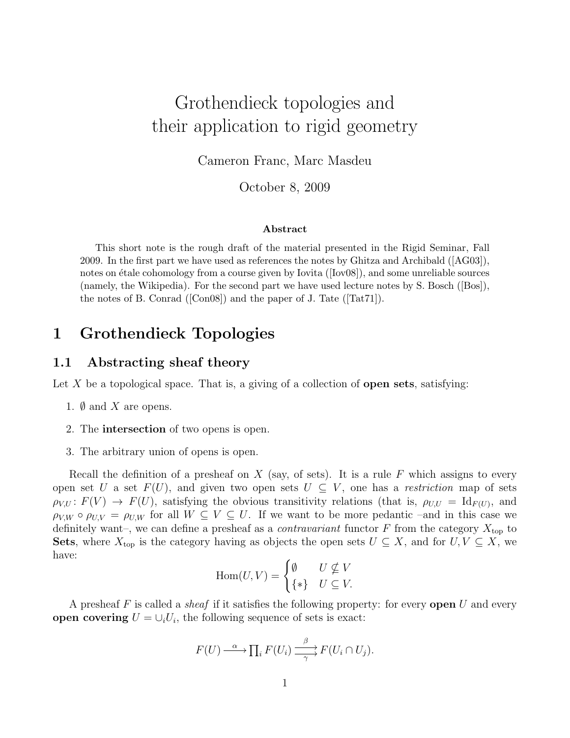# Grothendieck topologies and their application to rigid geometry

Cameron Franc, Marc Masdeu

October 8, 2009

#### Abstract

This short note is the rough draft of the material presented in the Rigid Seminar, Fall 2009. In the first part we have used as references the notes by Ghitza and Archibald ([AG03]), notes on étale cohomology from a course given by Iovita  $([Iov08])$ , and some unreliable sources (namely, the Wikipedia). For the second part we have used lecture notes by S. Bosch ([Bos]), the notes of B. Conrad ([Con08]) and the paper of J. Tate ([Tat71]).

## 1 Grothendieck Topologies

### 1.1 Abstracting sheaf theory

Let  $X$  be a topological space. That is, a giving of a collection of **open sets**, satisfying:

- 1.  $\emptyset$  and X are opens.
- 2. The intersection of two opens is open.
- 3. The arbitrary union of opens is open.

Recall the definition of a presheaf on X (say, of sets). It is a rule F which assigns to every open set U a set  $F(U)$ , and given two open sets  $U \subseteq V$ , one has a restriction map of sets  $\rho_{V,U}: F(V) \to F(U)$ , satisfying the obvious transitivity relations (that is,  $\rho_{U,U} = \text{Id}_{F(U)}$ , and  $\rho_{V,W} \circ \rho_{U,V} = \rho_{U,W}$  for all  $W \subseteq V \subseteq U$ . If we want to be more pedantic –and in this case we definitely want–, we can define a presheaf as a *contravariant* functor F from the category  $X_{\text{top}}$  to Sets, where  $X_{top}$  is the category having as objects the open sets  $U \subseteq X$ , and for  $U, V \subseteq X$ , we have:

$$
\operatorname{Hom}(U, V) = \begin{cases} \emptyset & U \nsubseteq V \\ \{ * \} & U \subseteq V. \end{cases}
$$

A presheaf F is called a *sheaf* if it satisfies the following property: for every **open** U and every open covering  $U = \bigcup_i U_i$ , the following sequence of sets is exact:

$$
F(U) \xrightarrow{\alpha} \prod_i F(U_i) \xrightarrow{\beta} F(U_i \cap U_j).
$$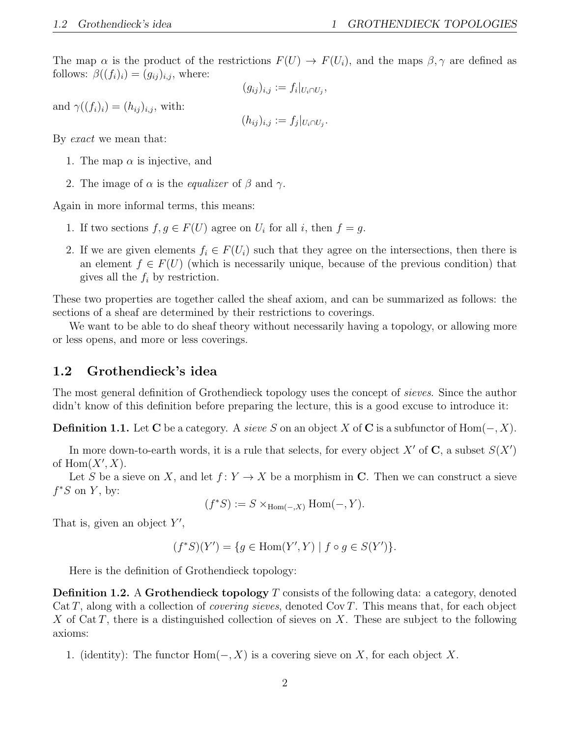The map  $\alpha$  is the product of the restrictions  $F(U) \to F(U_i)$ , and the maps  $\beta, \gamma$  are defined as follows:  $\beta((f_i)_i) = (g_{ij})_{i,j}$ , where:

$$
(g_{ij})_{i,j} := f_i|_{U_i \cap U_j},
$$

and  $\gamma((f_i)_i) = (h_{ij})_{i,j}$ , with:

$$
(h_{ij})_{i,j} := f_j|_{U_i \cap U_j}.
$$

By exact we mean that:

- 1. The map  $\alpha$  is injective, and
- 2. The image of  $\alpha$  is the *equalizer* of  $\beta$  and  $\gamma$ .

Again in more informal terms, this means:

- 1. If two sections  $f, g \in F(U)$  agree on  $U_i$  for all i, then  $f = g$ .
- 2. If we are given elements  $f_i \in F(U_i)$  such that they agree on the intersections, then there is an element  $f \in F(U)$  (which is necessarily unique, because of the previous condition) that gives all the  $f_i$  by restriction.

These two properties are together called the sheaf axiom, and can be summarized as follows: the sections of a sheaf are determined by their restrictions to coverings.

We want to be able to do sheaf theory without necessarily having a topology, or allowing more or less opens, and more or less coverings.

### 1.2 Grothendieck's idea

The most general definition of Grothendieck topology uses the concept of sieves. Since the author didn't know of this definition before preparing the lecture, this is a good excuse to introduce it:

**Definition 1.1.** Let C be a category. A sieve S on an object X of C is a subfunctor of  $Hom(-, X)$ .

In more down-to-earth words, it is a rule that selects, for every object  $X'$  of  $C$ , a subset  $S(X')$ of  $\text{Hom}(X', X)$ .

Let S be a sieve on X, and let  $f: Y \to X$  be a morphism in C. Then we can construct a sieve  $f^*S$  on Y, by:

$$
(f^*S) := S \times_{\text{Hom}(-,X)} \text{Hom}(-,Y).
$$

That is, given an object  $Y'$ ,

$$
(f^*S)(Y') = \{ g \in \text{Hom}(Y', Y) \mid f \circ g \in S(Y') \}.
$$

Here is the definition of Grothendieck topology:

**Definition 1.2.** A Grothendieck topology T consists of the following data: a category, denoted Cat T, along with a collection of *covering sieves*, denoted Cov T. This means that, for each object X of Cat T, there is a distinguished collection of sieves on X. These are subject to the following axioms:

1. (identity): The functor  $Hom(-, X)$  is a covering sieve on X, for each object X.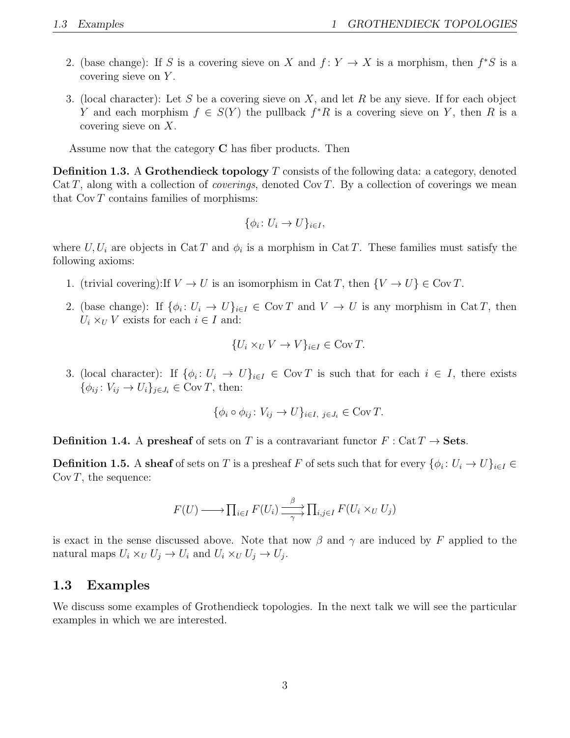- 2. (base change): If S is a covering sieve on X and  $f: Y \to X$  is a morphism, then  $f^*S$  is a covering sieve on Y.
- 3. (local character): Let S be a covering sieve on X, and let R be any sieve. If for each object Y and each morphism  $f \in S(Y)$  the pullback  $f^*R$  is a covering sieve on Y, then R is a covering sieve on X.

Assume now that the category C has fiber products. Then

**Definition 1.3.** A Grothendieck topology  $T$  consists of the following data: a category, denoted  $Cat T$ , along with a collection of *coverings*, denoted  $Cov T$ . By a collection of coverings we mean that  $Cov T$  contains families of morphisms:

$$
\{\phi_i\colon U_i\to U\}_{i\in I},
$$

where  $U, U_i$  are objects in Cat T and  $\phi_i$  is a morphism in Cat T. These families must satisfy the following axioms:

- 1. (trivial covering):If  $V \to U$  is an isomorphism in Cat T, then  $\{V \to U\} \in \text{Cov } T$ .
- 2. (base change): If  $\{\phi_i: U_i \to U\}_{i \in I} \in \text{Cov } T$  and  $V \to U$  is any morphism in Cat T, then  $U_i \times_U V$  exists for each  $i \in I$  and:

$$
\{U_i \times_U V \to V\}_{i \in I} \in \text{Cov} \, T.
$$

3. (local character): If  $\{\phi_i: U_i \to U\}_{i \in I} \in \text{Cov } T$  is such that for each  $i \in I$ , there exists  $\{\phi_{ij} : V_{ij} \to U_i\}_{j \in J_i} \in \text{Cov } T$ , then:

$$
\{\phi_i \circ \phi_{ij} \colon V_{ij} \to U\}_{i \in I, j \in J_i} \in \text{Cov } T.
$$

**Definition 1.4.** A presheaf of sets on T is a contravariant functor  $F: Cat T \rightarrow Sets$ .

**Definition 1.5.** A sheaf of sets on T is a presheaf F of sets such that for every  $\{\phi_i: U_i \to U\}_{i \in I} \in$  $\text{Cov } T$ , the sequence:

$$
F(U) \longrightarrow \prod_{i \in I} F(U_i) \xrightarrow[\gamma]{\beta} \prod_{i,j \in I} F(U_i \times_U U_j)
$$

is exact in the sense discussed above. Note that now  $\beta$  and  $\gamma$  are induced by F applied to the natural maps  $U_i \times_U U_j \to U_i$  and  $U_i \times_U U_j \to U_j$ .

### 1.3 Examples

We discuss some examples of Grothendieck topologies. In the next talk we will see the particular examples in which we are interested.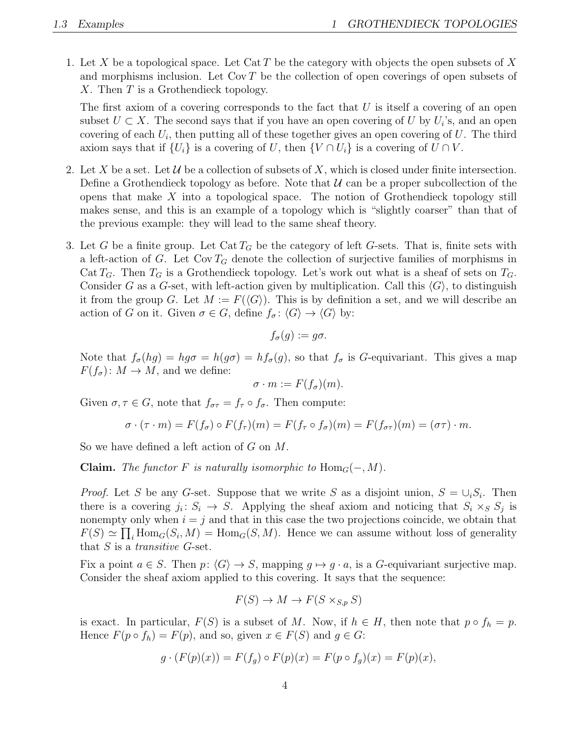1. Let X be a topological space. Let Cat T be the category with objects the open subsets of X and morphisms inclusion. Let  $Cov T$  be the collection of open coverings of open subsets of X. Then T is a Grothendieck topology.

The first axiom of a covering corresponds to the fact that  $U$  is itself a covering of an open subset  $U \subset X$ . The second says that if you have an open covering of U by  $U_i$ 's, and an open covering of each  $U_i$ , then putting all of these together gives an open covering of  $U$ . The third axiom says that if  $\{U_i\}$  is a covering of U, then  $\{V \cap U_i\}$  is a covering of  $U \cap V$ .

- 2. Let X be a set. Let U be a collection of subsets of X, which is closed under finite intersection. Define a Grothendieck topology as before. Note that  $\mathcal U$  can be a proper subcollection of the opens that make  $X$  into a topological space. The notion of Grothendieck topology still makes sense, and this is an example of a topology which is "slightly coarser" than that of the previous example: they will lead to the same sheaf theory.
- 3. Let G be a finite group. Let  $\text{Cat} T_G$  be the category of left G-sets. That is, finite sets with a left-action of G. Let  $Cov T_G$  denote the collection of surjective families of morphisms in Cat  $T_G$ . Then  $T_G$  is a Grothendieck topology. Let's work out what is a sheaf of sets on  $T_G$ . Consider G as a G-set, with left-action given by multiplication. Call this  $\langle G \rangle$ , to distinguish it from the group G. Let  $M := F(\langle G \rangle)$ . This is by definition a set, and we will describe an action of G on it. Given  $\sigma \in G$ , define  $f_{\sigma} : \langle G \rangle \to \langle G \rangle$  by:

$$
f_{\sigma}(g) := g\sigma.
$$

Note that  $f_{\sigma}(hg) = hg\sigma = h(g\sigma) = hf_{\sigma}(g)$ , so that  $f_{\sigma}$  is G-equivariant. This gives a map  $F(f_{\sigma})$ :  $M \to M$ , and we define:

$$
\sigma \cdot m := F(f_{\sigma})(m).
$$

Given  $\sigma, \tau \in G$ , note that  $f_{\sigma\tau} = f_{\tau} \circ f_{\sigma}$ . Then compute:

$$
\sigma \cdot (\tau \cdot m) = F(f_{\sigma}) \circ F(f_{\tau})(m) = F(f_{\tau} \circ f_{\sigma})(m) = F(f_{\sigma \tau})(m) = (\sigma \tau) \cdot m.
$$

So we have defined a left action of G on M.

**Claim.** The functor F is naturally isomorphic to  $\text{Hom}_G(-, M)$ .

*Proof.* Let S be any G-set. Suppose that we write S as a disjoint union,  $S = \bigcup_i S_i$ . Then there is a covering  $j_i: S_i \to S$ . Applying the sheaf axiom and noticing that  $S_i \times_S S_j$  is nonempty only when  $i = j$  and that in this case the two projections coincide, we obtain that  $F(S) \simeq \prod_i \text{Hom}_G(S_i, M) = \text{Hom}_G(S, M)$ . Hence we can assume without loss of generality that  $S$  is a *transitive G*-set.

Fix a point  $a \in S$ . Then  $p: \langle G \rangle \to S$ , mapping  $q \mapsto q \cdot a$ , is a G-equivariant surjective map. Consider the sheaf axiom applied to this covering. It says that the sequence:

$$
F(S) \to M \to F(S \times_{S,p} S)
$$

is exact. In particular,  $F(S)$  is a subset of M. Now, if  $h \in H$ , then note that  $p \circ f_h = p$ . Hence  $F(p \circ f_h) = F(p)$ , and so, given  $x \in F(S)$  and  $g \in G$ :

$$
g \cdot (F(p)(x)) = F(f_g) \circ F(p)(x) = F(p \circ f_g)(x) = F(p)(x),
$$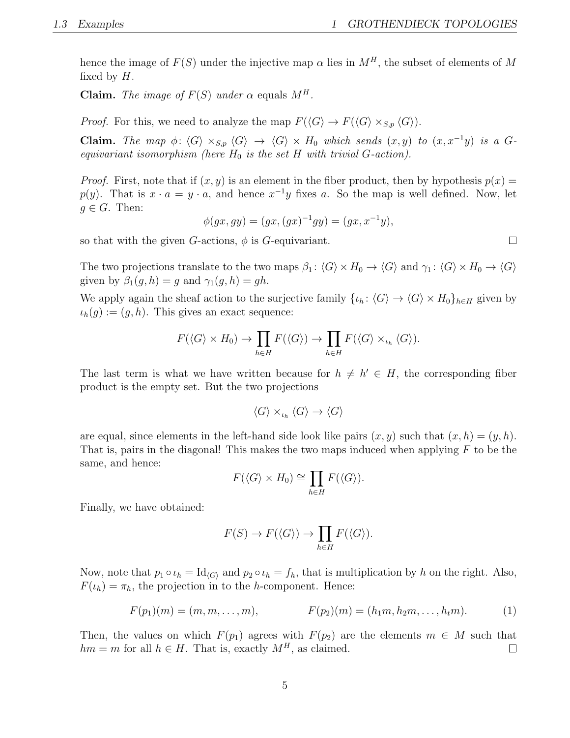hence the image of  $F(S)$  under the injective map  $\alpha$  lies in  $M<sup>H</sup>$ , the subset of elements of M fixed by  $H$ .

Claim. The image of  $F(S)$  under  $\alpha$  equals  $M<sup>H</sup>$ .

*Proof.* For this, we need to analyze the map  $F(\langle G \rangle \to F(\langle G \rangle \times_{S,p} \langle G \rangle)).$ 

**Claim.** The map  $\phi: \langle G \rangle \times_{S,p} \langle G \rangle \rightarrow \langle G \rangle \times H_0$  which sends  $(x, y)$  to  $(x, x^{-1}y)$  is a Gequivariant isomorphism (here  $H_0$  is the set H with trivial G-action).

*Proof.* First, note that if  $(x, y)$  is an element in the fiber product, then by hypothesis  $p(x) =$  $p(y)$ . That is  $x \cdot a = y \cdot a$ , and hence  $x^{-1}y$  fixes a. So the map is well defined. Now, let  $g \in G$ . Then:

$$
\phi(gx, gy) = (gx, (gx)^{-1}gy) = (gx, x^{-1}y),
$$

so that with the given G-actions,  $\phi$  is G-equivariant.

The two projections translate to the two maps  $\beta_1$ :  $\langle G \rangle \times H_0 \to \langle G \rangle$  and  $\gamma_1$ :  $\langle G \rangle \times H_0 \to \langle G \rangle$ given by  $\beta_1(g, h) = g$  and  $\gamma_1(g, h) = gh$ .

We apply again the sheaf action to the surjective family  $\{\iota_h: \langle G \rangle \to \langle G \rangle \times H_0\}_{h \in H}$  given by  $\iota_h(g) := (g, h)$ . This gives an exact sequence:

$$
F(\langle G \rangle \times H_0) \to \prod_{h \in H} F(\langle G \rangle) \to \prod_{h \in H} F(\langle G \rangle \times_{\iota_h} \langle G \rangle).
$$

The last term is what we have written because for  $h \neq h' \in H$ , the corresponding fiber product is the empty set. But the two projections

$$
\langle G \rangle \times_{\iota_h} \langle G \rangle \to \langle G \rangle
$$

are equal, since elements in the left-hand side look like pairs  $(x, y)$  such that  $(x, h) = (y, h)$ . That is, pairs in the diagonal! This makes the two maps induced when applying  $F$  to be the same, and hence:

$$
F(\langle G \rangle \times H_0) \cong \prod_{h \in H} F(\langle G \rangle).
$$

Finally, we have obtained:

$$
F(S) \to F(\langle G \rangle) \to \prod_{h \in H} F(\langle G \rangle).
$$

Now, note that  $p_1 \circ \iota_h = \text{Id}_{\langle G \rangle}$  and  $p_2 \circ \iota_h = f_h$ , that is multiplication by h on the right. Also,  $F(\iota_h) = \pi_h$ , the projection in to the h-component. Hence:

$$
F(p_1)(m) = (m, m, \dots, m), \qquad F(p_2)(m) = (h_1 m, h_2 m, \dots, h_t m). \qquad (1)
$$

Then, the values on which  $F(p_1)$  agrees with  $F(p_2)$  are the elements  $m \in M$  such that  $hm = m$  for all  $h \in H$ . That is, exactly  $M^H$ , as claimed.  $\Box$ 

 $\Box$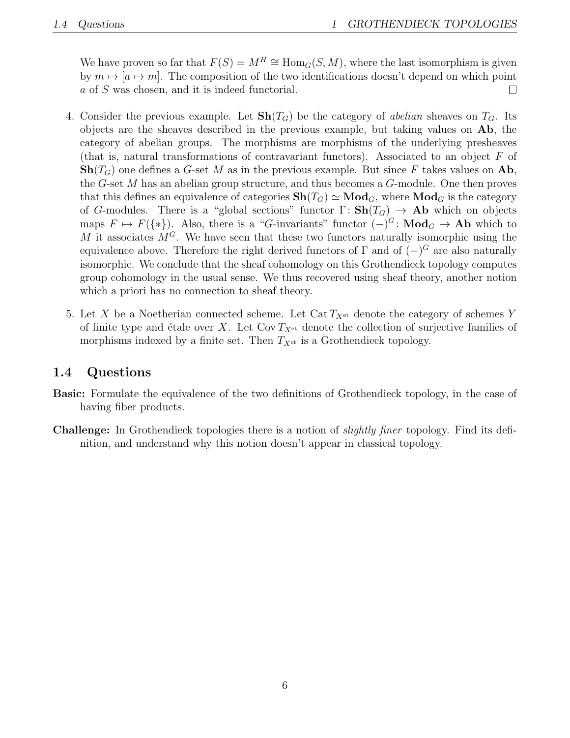We have proven so far that  $F(S) = M^H \cong Hom_G(S, M)$ , where the last isomorphism is given by  $m \mapsto [a \mapsto m]$ . The composition of the two identifications doesn't depend on which point a of S was chosen, and it is indeed functorial.  $\Box$ 

- 4. Consider the previous example. Let  $\text{Sh}(T_G)$  be the category of abelian sheaves on  $T_G$ . Its objects are the sheaves described in the previous example, but taking values on Ab, the category of abelian groups. The morphisms are morphisms of the underlying presheaves (that is, natural transformations of contravariant functors). Associated to an object F of  $\text{Sh}(T_G)$  one defines a G-set M as in the previous example. But since F takes values on Ab, the G-set M has an abelian group structure, and thus becomes a G-module. One then proves that this defines an equivalence of categories  $\mathbf{Sh}(T_G) \simeq \mathbf{Mod}_G$ , where  $\mathbf{Mod}_G$  is the category of G-modules. There is a "global sections" functor  $\Gamma: \mathbf{Sh}(T_G) \to \mathbf{Ab}$  which on objects maps  $F \mapsto F({*})$ . Also, there is a "G-invariants" functor  $(-)^{G}$ : Mod<sub>G</sub>  $\rightarrow$  Ab which to M it associates  $M<sup>G</sup>$ . We have seen that these two functors naturally isomorphic using the equivalence above. Therefore the right derived functors of  $\Gamma$  and of  $(-)^{G}$  are also naturally isomorphic. We conclude that the sheaf cohomology on this Grothendieck topology computes group cohomology in the usual sense. We thus recovered using sheaf theory, another notion which a priori has no connection to sheaf theory.
- 5. Let X be a Noetherian connected scheme. Let Cat  $T_{X<sup>et</sup>}$  denote the category of schemes Y of finite type and étale over X. Let  $Cov T_{X<sup>et</sup>}$  denote the collection of surjective families of morphisms indexed by a finite set. Then  $T_{X<sup>et</sup>}$  is a Grothendieck topology.

### 1.4 Questions

- Basic: Formulate the equivalence of the two definitions of Grothendieck topology, in the case of having fiber products.
- Challenge: In Grothendieck topologies there is a notion of slightly finer topology. Find its definition, and understand why this notion doesn't appear in classical topology.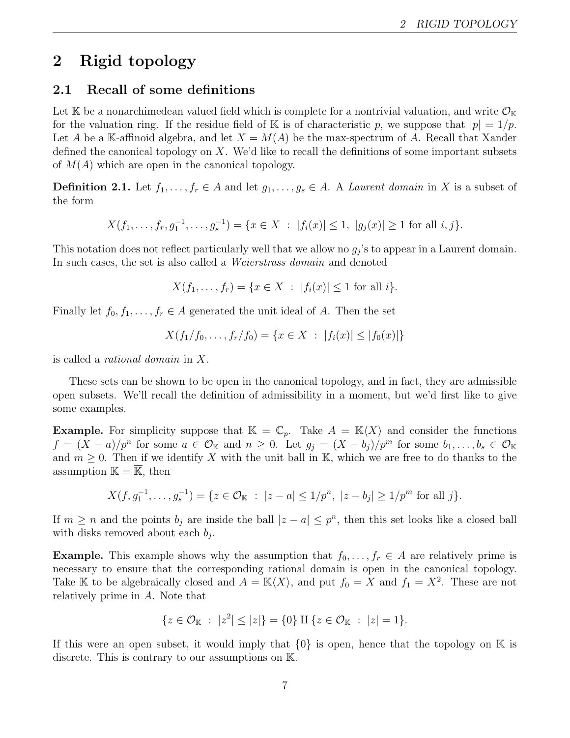## 2 Rigid topology

### 2.1 Recall of some definitions

Let K be a nonarchimedean valued field which is complete for a nontrivial valuation, and write  $\mathcal{O}_{K}$ for the valuation ring. If the residue field of K is of characteristic p, we suppose that  $|p| = 1/p$ . Let A be a K-affinoid algebra, and let  $X = M(A)$  be the max-spectrum of A. Recall that Xander defined the canonical topology on X. We'd like to recall the definitions of some important subsets of  $M(A)$  which are open in the canonical topology.

**Definition 2.1.** Let  $f_1, \ldots, f_r \in A$  and let  $g_1, \ldots, g_s \in A$ . A *Laurent domain* in X is a subset of the form

$$
X(f_1, \ldots, f_r, g_1^{-1}, \ldots, g_s^{-1}) = \{ x \in X \; : \; |f_i(x)| \le 1, \; |g_j(x)| \ge 1 \text{ for all } i, j \}.
$$

This notation does not reflect particularly well that we allow no  $g_j$ 's to appear in a Laurent domain. In such cases, the set is also called a *Weierstrass domain* and denoted

$$
X(f_1, \ldots, f_r) = \{ x \in X \; : \; |f_i(x)| \le 1 \text{ for all } i \}.
$$

Finally let  $f_0, f_1, \ldots, f_r \in A$  generated the unit ideal of A. Then the set

$$
X(f_1/f_0, \ldots, f_r/f_0) = \{ x \in X : |f_i(x)| \le |f_0(x)| \}
$$

is called a rational domain in X.

These sets can be shown to be open in the canonical topology, and in fact, they are admissible open subsets. We'll recall the definition of admissibility in a moment, but we'd first like to give some examples.

**Example.** For simplicity suppose that  $\mathbb{K} = \mathbb{C}_p$ . Take  $A = \mathbb{K}\langle X \rangle$  and consider the functions  $f = (X - a)/p^n$  for some  $a \in \mathcal{O}_{\mathbb{K}}$  and  $n \geq 0$ . Let  $g_j = (X - b_j)/p^m$  for some  $b_1, \ldots, b_s \in \mathcal{O}_{\mathbb{K}}$ and  $m \geq 0$ . Then if we identify X with the unit ball in K, which we are free to do thanks to the assumption  $\mathbb{K} = \overline{\mathbb{K}}$ , then

$$
X(f, g_1^{-1}, \dots, g_s^{-1}) = \{ z \in \mathcal{O}_{\mathbb{K}} : |z - a| \leq 1/p^n, |z - b_j| \geq 1/p^m \text{ for all } j \}.
$$

If  $m \geq n$  and the points  $b_j$  are inside the ball  $|z - a| \leq p^n$ , then this set looks like a closed ball with disks removed about each  $b_j$ .

**Example.** This example shows why the assumption that  $f_0, \ldots, f_r \in A$  are relatively prime is necessary to ensure that the corresponding rational domain is open in the canonical topology. Take K to be algebraically closed and  $A = K\langle X \rangle$ , and put  $f_0 = X$  and  $f_1 = X^2$ . These are not relatively prime in A. Note that

$$
\{z\in\mathcal{O}_{\mathbb{K}}\;:\;|z^2|\leq|z|\}=\{0\}\amalg\{z\in\mathcal{O}_{\mathbb{K}}\;:\;|z|=1\}.
$$

If this were an open subset, it would imply that  $\{0\}$  is open, hence that the topology on K is discrete. This is contrary to our assumptions on K.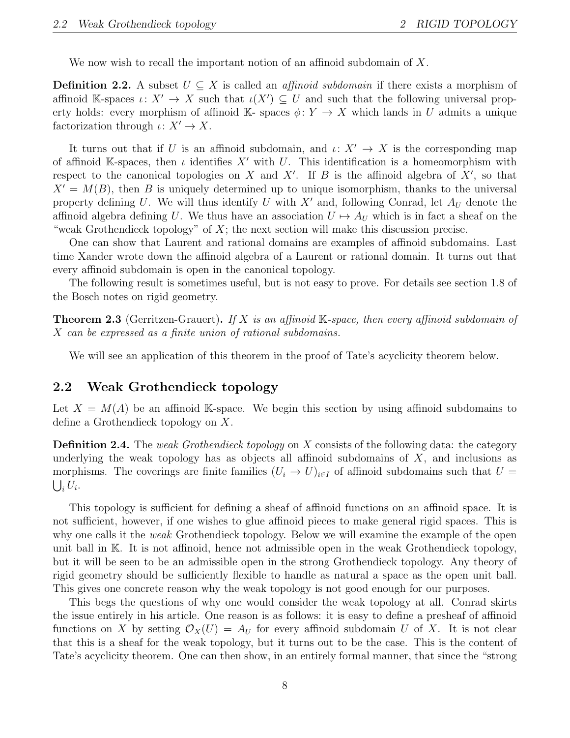We now wish to recall the important notion of an affinoid subdomain of X.

**Definition 2.2.** A subset  $U \subseteq X$  is called an *affinoid subdomain* if there exists a morphism of affinoid K-spaces  $\iota: X' \to X$  such that  $\iota(X') \subseteq U$  and such that the following universal property holds: every morphism of affinoid K- spaces  $\phi: Y \to X$  which lands in U admits a unique factorization through  $\iota: X' \to X$ .

It turns out that if U is an affinoid subdomain, and  $\iota: X' \to X$  is the corresponding map of affinoid K-spaces, then  $\iota$  identifies X' with U. This identification is a homeomorphism with respect to the canonical topologies on X and X'. If B is the affinoid algebra of  $X'$ , so that  $X' = M(B)$ , then B is uniquely determined up to unique isomorphism, thanks to the universal property defining U. We will thus identify U with  $X'$  and, following Conrad, let  $A_U$  denote the affinoid algebra defining U. We thus have an association  $U \mapsto A_U$  which is in fact a sheaf on the "weak Grothendieck topology" of  $X$ ; the next section will make this discussion precise.

One can show that Laurent and rational domains are examples of affinoid subdomains. Last time Xander wrote down the affinoid algebra of a Laurent or rational domain. It turns out that every affinoid subdomain is open in the canonical topology.

The following result is sometimes useful, but is not easy to prove. For details see section 1.8 of the Bosch notes on rigid geometry.

**Theorem 2.3** (Gerritzen-Grauert). If X is an affinoid K-space, then every affinoid subdomain of X can be expressed as a finite union of rational subdomains.

We will see an application of this theorem in the proof of Tate's acyclicity theorem below.

### 2.2 Weak Grothendieck topology

Let  $X = M(A)$  be an affinoid K-space. We begin this section by using affinoid subdomains to define a Grothendieck topology on X.

**Definition 2.4.** The *weak Grothendieck topology* on X consists of the following data: the category underlying the weak topology has as objects all affinoid subdomains of  $X$ , and inclusions as morphisms. The coverings are finite families  $(U_i \to U)_{i \in I}$  of affinoid subdomains such that  $U =$  $\bigcup_i U_i.$ 

This topology is sufficient for defining a sheaf of affinoid functions on an affinoid space. It is not sufficient, however, if one wishes to glue affinoid pieces to make general rigid spaces. This is why one calls it the *weak* Grothendieck topology. Below we will examine the example of the open unit ball in K. It is not affinoid, hence not admissible open in the weak Grothendieck topology, but it will be seen to be an admissible open in the strong Grothendieck topology. Any theory of rigid geometry should be sufficiently flexible to handle as natural a space as the open unit ball. This gives one concrete reason why the weak topology is not good enough for our purposes.

This begs the questions of why one would consider the weak topology at all. Conrad skirts the issue entirely in his article. One reason is as follows: it is easy to define a presheaf of affinoid functions on X by setting  $\mathcal{O}_X(U) = A_U$  for every affinoid subdomain U of X. It is not clear that this is a sheaf for the weak topology, but it turns out to be the case. This is the content of Tate's acyclicity theorem. One can then show, in an entirely formal manner, that since the "strong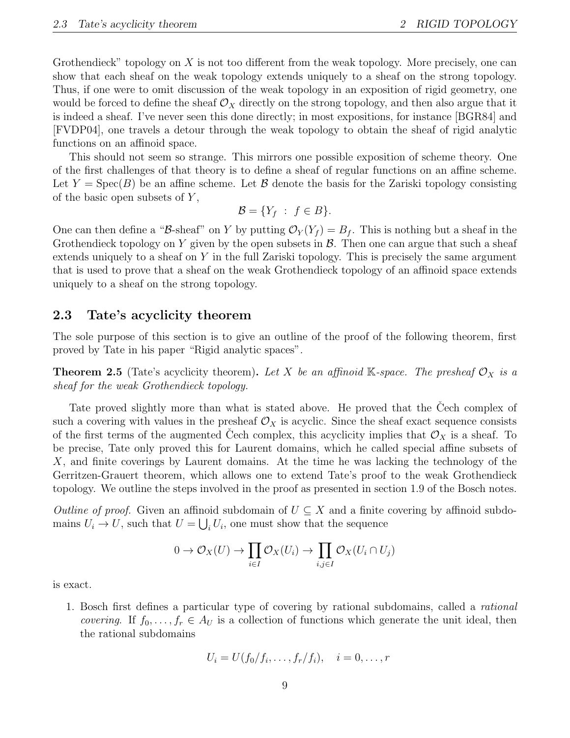Grothendieck" topology on  $X$  is not too different from the weak topology. More precisely, one can show that each sheaf on the weak topology extends uniquely to a sheaf on the strong topology. Thus, if one were to omit discussion of the weak topology in an exposition of rigid geometry, one would be forced to define the sheaf  $\mathcal{O}_X$  directly on the strong topology, and then also argue that it is indeed a sheaf. I've never seen this done directly; in most expositions, for instance [BGR84] and [FVDP04], one travels a detour through the weak topology to obtain the sheaf of rigid analytic functions on an affinoid space.

This should not seem so strange. This mirrors one possible exposition of scheme theory. One of the first challenges of that theory is to define a sheaf of regular functions on an affine scheme. Let  $Y = \text{Spec}(B)$  be an affine scheme. Let  $\mathcal B$  denote the basis for the Zariski topology consisting of the basic open subsets of  $Y$ ,

$$
\mathcal{B} = \{ Y_f : f \in B \}.
$$

One can then define a "B-sheaf" on Y by putting  $\mathcal{O}_Y(Y_f) = B_f$ . This is nothing but a sheaf in the Grothendieck topology on Y given by the open subsets in  $\mathcal{B}$ . Then one can argue that such a sheaf extends uniquely to a sheaf on Y in the full Zariski topology. This is precisely the same argument that is used to prove that a sheaf on the weak Grothendieck topology of an affinoid space extends uniquely to a sheaf on the strong topology.

### 2.3 Tate's acyclicity theorem

The sole purpose of this section is to give an outline of the proof of the following theorem, first proved by Tate in his paper "Rigid analytic spaces".

**Theorem 2.5** (Tate's acyclicity theorem). Let X be an affinoid K-space. The presheaf  $\mathcal{O}_X$  is a sheaf for the weak Grothendieck topology.

Tate proved slightly more than what is stated above. He proved that the Cech complex of such a covering with values in the presheaf  $\mathcal{O}_X$  is acyclic. Since the sheaf exact sequence consists of the first terms of the augmented Cech complex, this acyclicity implies that  $\mathcal{O}_X$  is a sheaf. To be precise, Tate only proved this for Laurent domains, which he called special affine subsets of X, and finite coverings by Laurent domains. At the time he was lacking the technology of the Gerritzen-Grauert theorem, which allows one to extend Tate's proof to the weak Grothendieck topology. We outline the steps involved in the proof as presented in section 1.9 of the Bosch notes.

Outline of proof. Given an affinoid subdomain of  $U \subseteq X$  and a finite covering by affinoid subdomains  $U_i \to U$ , such that  $U = \bigcup_i U_i$ , one must show that the sequence

$$
0 \to \mathcal{O}_X(U) \to \prod_{i \in I} \mathcal{O}_X(U_i) \to \prod_{i,j \in I} \mathcal{O}_X(U_i \cap U_j)
$$

is exact.

1. Bosch first defines a particular type of covering by rational subdomains, called a rational *covering.* If  $f_0, \ldots, f_r \in A_U$  is a collection of functions which generate the unit ideal, then the rational subdomains

$$
U_i = U(f_0/f_i, \ldots, f_r/f_i), \quad i = 0, \ldots, r
$$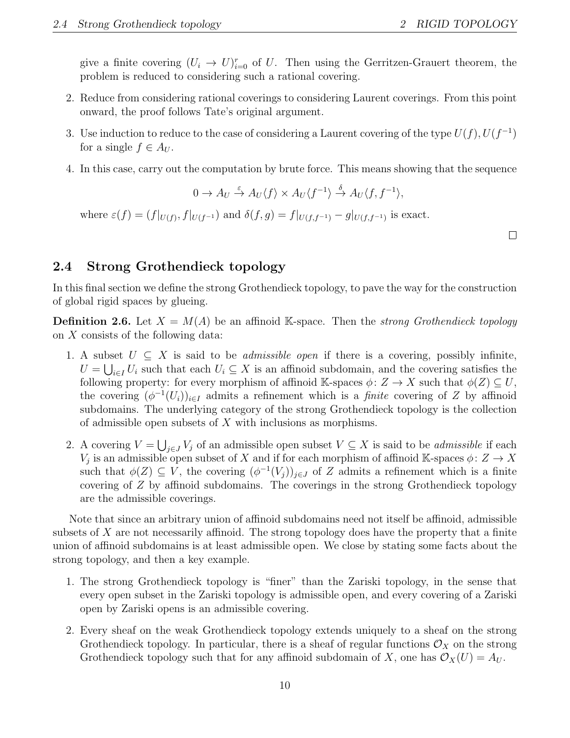give a finite covering  $(U_i \to U)_{i=0}^r$  of U. Then using the Gerritzen-Grauert theorem, the problem is reduced to considering such a rational covering.

- 2. Reduce from considering rational coverings to considering Laurent coverings. From this point onward, the proof follows Tate's original argument.
- 3. Use induction to reduce to the case of considering a Laurent covering of the type  $U(f)$ ,  $U(f^{-1})$ for a single  $f \in A_U$ .
- 4. In this case, carry out the computation by brute force. This means showing that the sequence

 $0 \to A_U \stackrel{\varepsilon}{\to} A_U \langle f \rangle \times A_U \langle f^{-1} \rangle \stackrel{\delta}{\to} A_U \langle f, f^{-1} \rangle,$ 

where  $\varepsilon(f) = (f|_{U(f)}, f|_{U(f^{-1})})$  and  $\delta(f, g) = f|_{U(f, f^{-1})} - g|_{U(f, f^{-1})}$  is exact.

 $\Box$ 

### 2.4 Strong Grothendieck topology

In this final section we define the strong Grothendieck topology, to pave the way for the construction of global rigid spaces by glueing.

**Definition 2.6.** Let  $X = M(A)$  be an affinoid K-space. Then the *strong Grothendieck topology* on X consists of the following data:

- 1. A subset  $U \subseteq X$  is said to be *admissible open* if there is a covering, possibly infinite,  $U = \bigcup_{i \in I} U_i$  such that each  $U_i \subseteq X$  is an affinoid subdomain, and the covering satisfies the following property: for every morphism of affinoid K-spaces  $\phi: Z \to X$  such that  $\phi(Z) \subseteq U$ , the covering  $(\phi^{-1}(U_i))_{i\in I}$  admits a refinement which is a *finite* covering of Z by affinoid subdomains. The underlying category of the strong Grothendieck topology is the collection of admissible open subsets of X with inclusions as morphisms.
- 2. A covering  $V = \bigcup_{j \in J} V_j$  of an admissible open subset  $V \subseteq X$  is said to be *admissible* if each  $V_j$  is an admissible open subset of X and if for each morphism of affinoid K-spaces  $\phi: Z \to X$ such that  $\phi(Z) \subseteq V$ , the covering  $(\phi^{-1}(V_j))_{j \in J}$  of Z admits a refinement which is a finite covering of Z by affinoid subdomains. The coverings in the strong Grothendieck topology are the admissible coverings.

Note that since an arbitrary union of affinoid subdomains need not itself be affinoid, admissible subsets of X are not necessarily affinoid. The strong topology does have the property that a finite union of affinoid subdomains is at least admissible open. We close by stating some facts about the strong topology, and then a key example.

- 1. The strong Grothendieck topology is "finer" than the Zariski topology, in the sense that every open subset in the Zariski topology is admissible open, and every covering of a Zariski open by Zariski opens is an admissible covering.
- 2. Every sheaf on the weak Grothendieck topology extends uniquely to a sheaf on the strong Grothendieck topology. In particular, there is a sheaf of regular functions  $\mathcal{O}_X$  on the strong Grothendieck topology such that for any affinoid subdomain of X, one has  $\mathcal{O}_X(U) = A_U$ .